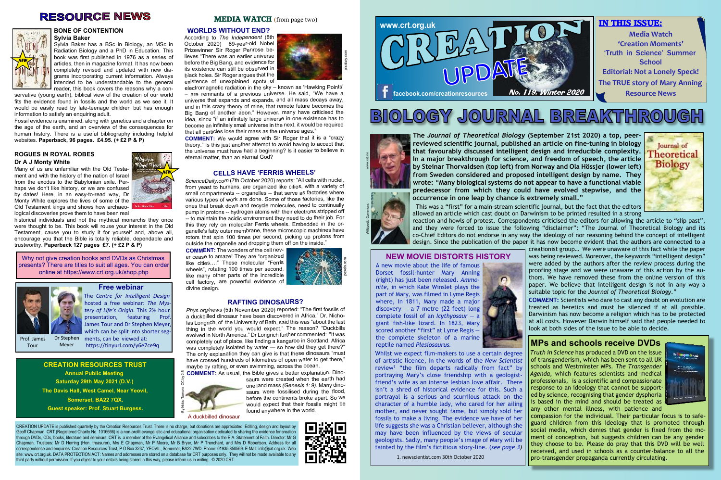#### **BONE OF CONTENTION Sylvia Baker**

Sylvia Baker has a BSc in Biology, an MSc in Radiation Biology and a PhD in Education. This book was first published in 1976 as a series of articles, then in magazine format. It has now been completely revised and updated with new diagrams incorporating current information. Always intended to be understandable to the general reader, this book covers the reasons why a con-

servative (young earth), biblical view of the creation of our world fits the evidence found in fossils and the world as we see it. It would be easily read by late-teenage children but has enough information to satisfy an enquiring adult.

Fossil evidence is examined, along with genetics and a chapter on the age of the earth, and an overview of the consequences for human history. There is a useful bibliography including helpful websites. **Paperback, 96 pages. £4.95. (+ £2 P & P)**

# **ROGUES IN ROYAL ROBES Dr A J Monty White**

Many of us are unfamiliar with the Old Testament and with the history of the nation of Israel from the exodus to the Babylonian exile. Perhaps we don't like history, or we are confused by dates! Here, in an easy-to-read way, Dr Monty White explores the lives of some of the Old Testament kings and shows how archaeological discoveries prove them to have been real

historical individuals and not the mythical monarchs they once were thought to be. This book will rouse your interest in the Old Testament, cause you to study it for yourself and, above all, encourage you that the Bible is totally reliable, dependable and trustworthy. **Paperback 127 pages £7. (+ £2 P & P)**

**The** *Journal of Theoretical Biology* **(September 21st 2020) a top, peerreviewed scientific journal, published an article on fine-tuning in biology that favourably discussed intelligent design and irreducible complexity. In a major breakthrough for science, and freedom of speech, the article by Steinar Thorvaldsen (top left) from Norway and Ola Hössjer (lower left) from Sweden considered and proposed intelligent design by name. They wrote:** "**Many biological systems do not appear to have a functional viable predecessor from which they could have evolved stepwise, and the occurrence in one leap by chance is extremely small."**





 This was a "first" for a main-stream scientific journal, but the fact that the editors allowed an article which cast doubt on Darwinism to be printed resulted in a strong reaction and howls of protest. Correspondents criticised the editors for allowing the article to "slip past", and they were forced to issue the following "disclaimer": "The Journal of Theoretical Biology and its co-Chief Editors do not endorse in any way the ideology of nor reasoning behind the concept of intelligent design. Since the publication of the paper it has now become evident that the authors are connected to a creationist group… We were unaware of this fact while the paper was being reviewed. Moreover, the keywords "intelligent design" were added by the authors after the review process during the proofing stage and we were unaware of this action by the authors. We have removed these from the online version of this  $\Omega$ paper. We believe that intelligent design is not in any way a suitable topic for the *Journal of Theoretical Biology*."

> **COMMENT:** Scientists who dare to cast any doubt on evolution are treated as heretics and must be silenced if at all possible. Darwinism has now become a religion which has to be protected at all costs. However Darwin himself said that people needed to look at both sides of the issue to be able to decide.

### **WORLDS WITHOUT END?**

According to *The Independent* (8th October 2020) 89-year-old Nobel Prizewinner Sir Roger Penrose believes "There was an earlier universe before the Big Bang, and evidence for its existence can still be observed in black holes. Sir Roger argues that the existence of unexplained spots of

electromagnetic radiation in the sky – known as 'Hawking Points' – are remnants of a previous universe. He said, "We have a universe that expands and expands, and all mass decays away, and in this crazy theory of mine, that remote future becomes the Big Bang of another aeon." However, many have criticised the idea, since "if an infinitely large universe in one existence has to become an infinitely small universe in the next, it would be required that all particles lose their mass as the universe ages."

**COMMENT:** We would agree with Sir Roger that it is a "crazy theory." Is this just another attempt to avoid having to accept that the universe must have had a beginning? Is it easier to believe in eternal matter, than an eternal God?

### **CELLS HAVE 'FERRIS WHEELS'**

*ScienceDaily.com* (7th October 2020) reports: "All cells with nuclei, from yeast to humans, are organized like cities, with a variety of small compartments -- organelles -- that serve as factories where various types of work are done. Some of those factories, like the ones that break down and recycle molecules, need to continually pump in protons -- hydrogen atoms with their electrons stripped off -- to maintain the acidic environment they need to do their job. For this they rely on molecular Ferris wheels. Embedded in the organelle's fatty outer membrane, these microscopic machines have rotors that spin 100 times per second, picking up protons from outside the organelle and dropping them off on the inside."

**COMMENT:** The wonders of the cell never cease to amaze! They are "organized like cities…." These molecular "Ferris wheels", rotating 100 times per second, like many other parts of the incredible cell factory, are powerful evidence of divine design.

#### **RAFTING DINOSAURS?**

*Phys.org/news* (5th November 2020) reported: "The first fossils of a duckbilled dinosaur have been discovered in Africa." Dr. Nicholas Longrich, of the University of Bath, said this was "about the last thing in the world you would expect." The reason? "Duckbills evolved in North America." Dr Longrich further commented: "It was completely out of place, like finding a kangaroo in Scotland. Africa was completely isolated by water — so how did they get there?" The only explanation they can give is that these dinosaurs "must have crossed hundreds of kilometres of open water to get there," maybe by rafting, or even swimming, across the ocean.

**COMMENT:** As usual, the Bible gives a better explanation. Dino-

saurs were created when the earth had one land mass *(Genesis 1: 9).* Many dinosaurs were fossilised during the flood, before the continents broke apart. So we would expect that their fossils might be found anywhere in the world.

CREATION UPDATE is published quarterly by the Creation Resources Trust. There is no charge, but donations are appreciated. Editing, design and layout by Geoff Chapman. CRT (Registered Charity No. 1016666) is a non-profit evangelistic and educational organisation dedicated to sharing the evidence for creation through DVDs, CDs, books, literature and seminars. CRT is a member of the Evangelical Alliance and subscribes to the E.A. Statement of Faith. Director: Mr G Chapman. Trustees: Mr D Herring (Hon. treasurer), Mrs E Chapman, Mr P Moore, Mr B Bryer, Mr P Trenchard, and Mrs D Robertson. Address for all correspondence and enquiries: Creation Resources Trust, P O Box 3237, YEOVIL, Somerset, BA22 7WD. Phone: 01935 850569. E-Mail: info@crt.org.uk. Web site: www.crt.org.uk. DATA PROTECTION ACT: Names and addresses are stored on a database for CRT purposes only. They will not be made available to any third party without permission. If you object to your details being stored in this way, please inform us in writing. © 2020 CRT.



# **CREATION RESOURCES TRUST Annual Public Meeting Saturday 29th May 2021 (D.V.) The Davis Hall, West Camel, Near Yeovil, Somerset, BA22 7QX.**

**Guest speaker: Prof. Stuart Burgess.**

# **MEDIA WATCH** (from page two)

Why not give creation books and DVDs as Christmas presents? There are titles to suit all ages. You can order online at https://www.crt.org.uk/shop.php





A new movie about the life of famous Dorset fossil-hunter Mary Anning (right) has just been released. *Ammonite,* in which Kate Winslet plays the part of Mary, was filmed in Lyme Regis where, in 1811, Mary made a major discovery  $-$  a 7 metre (22 feet) long complete fossil of an *Icythyosaur* — a giant fish-like lizard. In 1823, Mary scored another "first" at Lyme Regis the complete skeleton of a marine



# reptile named *Plesiosaurus.* **MPs and schools receive DVDs**

# **RESOURCE NEWS**





*Truth in Science* has produced a DVD on the issue of transgenderism, which has been sent to all UK schools and Westminster MPs. *The Transgender Agenda,* which features scientists and medical professionals, is a scientific and compassionate response to an ideology that cannot be supported by science, recognising that gender dysphoria is based in the mind and should be treated as any other mental illness, with patience and



compassion for the individual. Their particular focus is to safeguard children from this ideology that is promoted through social media, which denies that gender is fixed from the moment of conception, but suggests children can be any gender they choose to be. Please do pray that this DVD will be well received, and used in schools as a counter-balance to all the pro-transgender propaganda currently circulating.



A duckbilled dinosaur



The *Centre for Intelligent Design* hosted a free webinar: *The Mystery of Life's Origin*. This 2½ hour presentation, featuring Prof. James Tour and Dr Stephen Meyer, which can be split into shorter segments, can be viewed at: https://tinyurl.com/y6e7ce9q

# **Free webinar**

Prof. James Tour



Meyer

# **NEW MOVIE DISTORTS HISTORY**

Whilst we expect film-makers to use a certain degree of artistic licence, in the words of the *New Scientist* review<sup>1</sup> "the film departs radically from fact" by portraying Mary's close friendship with a geologistfriend's wife as an intense lesbian love affair. There isn't a shred of historical evidence for this. Such a portrayal is a serious and scurrilous attack on the character of a humble lady, who cared for her ailing mother, and never sought fame, but simply sold her fossils to make a living. The evidence we have of her life suggests she was a Christian believer, although she may have been influenced by the views of secular geologists. Sadly, many people's image of Mary will be tainted by the film's fictitious story-line. (*see page 3)*

1. newscientist.com 30th October 2020